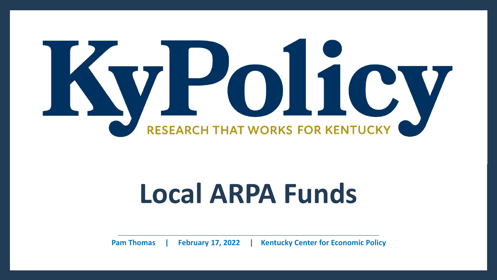

# **Local ARPA Funds**

**Pam Thomas | February 17, 2022 | Kentucky Center for Economic Policy**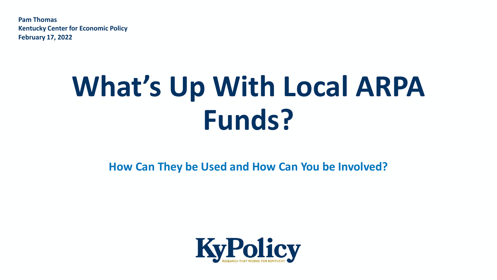**Pam Thomas Kentucky Center for Economic Policy February 17, 2022**

# What's Up With Local ARPA **Funds?**

**How Can They be Used and How Can You be Involved?**

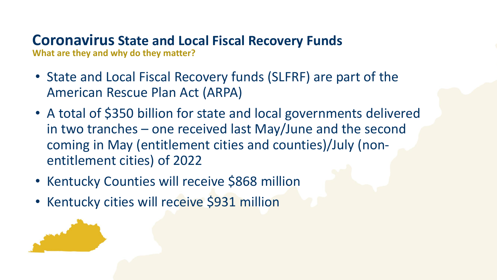# **Coronavirus State and Local Fiscal Recovery Funds**

**What are they and why do they matter?**

- State and Local Fiscal Recovery funds (SLFRF) are part of the American Rescue Plan Act (ARPA)
- A total of \$350 billion for state and local governments delivered in two tranches – one received last May/June and the second coming in May (entitlement cities and counties)/July (nonentitlement cities) of 2022
- Kentucky Counties will receive \$868 million
- Kentucky cities will receive \$931 million

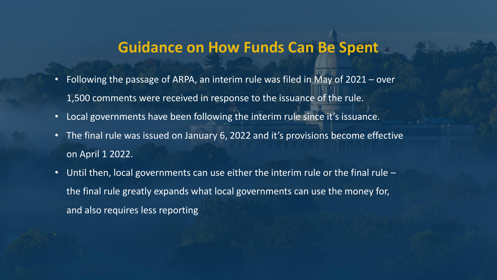## **Guidance on How Funds Can Be Spent**

- Following the passage of ARPA, an interim rule was filed in May of 2021 over 1,500 comments were received in response to the issuance of the rule.
- Local governments have been following the interim rule since it's issuance.
- The final rule was issued on January 6, 2022 and it's provisions become effective on April 1 2022.
- Until then, local governments can use either the interim rule or the final rule the final rule greatly expands what local governments can use the money for, and also requires less reporting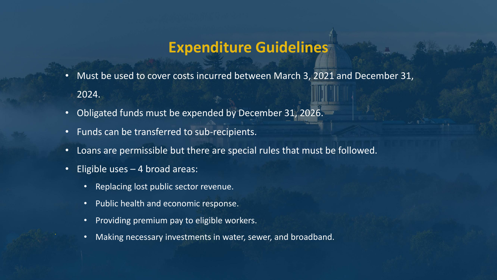## **Expenditure Guidelines**

- Must be used to cover costs incurred between March 3, 2021 and December 31, 2024.
- Obligated funds must be expended by December 31, 2026.
- Funds can be transferred to sub-recipients.
- Loans are permissible but there are special rules that must be followed.
- Eligible uses  $-$  4 broad areas:
	- Replacing lost public sector revenue.
	- Public health and economic response.
	- Providing premium pay to eligible workers.
	- Making necessary investments in water, sewer, and broadband. **.**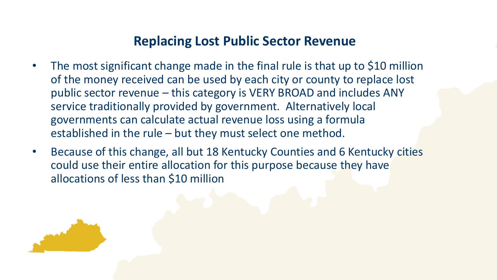## **Replacing Lost Public Sector Revenue**

- The most significant change made in the final rule is that up to \$10 million of the money received can be used by each city or county to replace lost public sector revenue – this category is VERY BROAD and includes ANY service traditionally provided by government. Alternatively local governments can calculate actual revenue loss using a formula established in the rule – but they must select one method.
- Because of this change, all but 18 Kentucky Counties and 6 Kentucky cities could use their entire allocation for this purpose because they have allocations of less than \$10 million

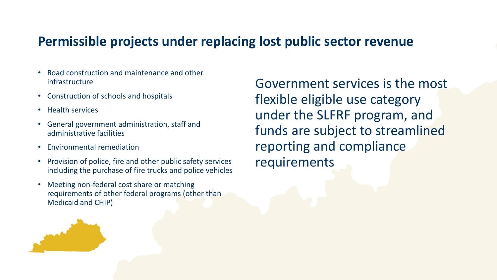## **Permissible projects under replacing lost public sector revenue**

- Road construction and maintenance and other infrastructure
- Construction of schools and hospitals
- Health services
- General government administration, staff and administrative facilities
- Environmental remediation
- Provision of police, fire and other public safety services including the purchase of fire trucks and police vehicles
- Meeting non-federal cost share or matching requirements of other federal programs (other than Medicaid and CHIP)

Government services is the most flexible eligible use category under the SLFRF program, and funds are subject to streamlined reporting and compliance requirements

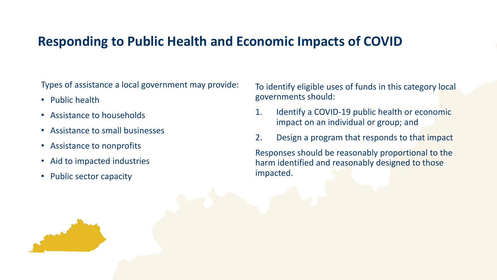## **Responding to Public Health and Economic Impacts of COVID**

Types of assistance a local government may provide:

- Public health
- Assistance to households
- Assistance to small businesses
- Assistance to nonprofits
- Aid to impacted industries
- Public sector capacity

To identify eligible uses of funds in this category local governments should:

- 1. Identify a COVID-19 public health or economic impact on an individual or group; and
- 2. Design a program that responds to that impact

Responses should be reasonably proportional to the harm identified and reasonably designed to those impacted.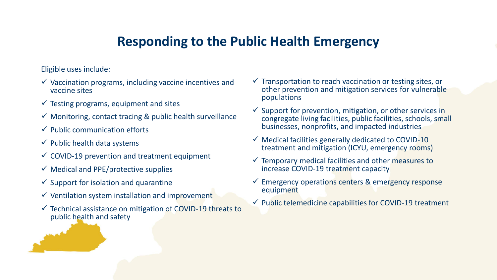## **Responding to the Public Health Emergency**

Eligible uses include:

- $\checkmark$  Vaccination programs, including vaccine incentives and vaccine sites
- $\checkmark$  Testing programs, equipment and sites
- $\checkmark$  Monitoring, contact tracing & public health surveillance
- $\checkmark$  Public communication efforts
- $\checkmark$  Public health data systems
- $\checkmark$  COVID-19 prevention and treatment equipment
- $\checkmark$  Medical and PPE/protective supplies
- $\checkmark$  Support for isolation and quarantine
- $\checkmark$  Ventilation system installation and improvement
- ✓ Technical assistance on mitigation of COVID-19 threats to public health and safety
- $\checkmark$  Transportation to reach vaccination or testing sites, or other prevention and mitigation services for vulnerable populations
- $\checkmark$  Support for prevention, mitigation, or other services in congregate living facilities, public facilities, schools, small businesses, nonprofits, and impacted industries
- $\checkmark$  Medical facilities generally dedicated to COVID-10 treatment and mitigation (ICYU, emergency rooms)
- ✓ Temporary medical facilities and other measures to increase COVID-19 treatment capacity
- Emergency operations centers & emergency response equipment
- $\checkmark$  Public telemedicine capabilities for COVID-19 treatment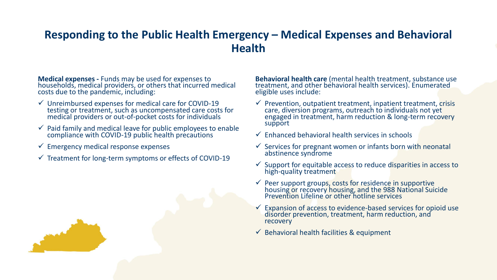## **Responding to the Public Health Emergency – Medical Expenses and Behavioral Health**

**Medical expenses -** Funds may be used for expenses to households, medical providers, or others that incurred medical costs due to the pandemic, including:

- $\checkmark$  Unreimbursed expenses for medical care for COVID-19 testing or treatment, such as uncompensated care costs for medical providers or out-of-pocket costs for individuals
- $\checkmark$  Paid family and medical leave for public employees to enable compliance with COVID-19 public health precautions
- $\checkmark$  Emergency medical response expenses
- $\checkmark$  Treatment for long-term symptoms or effects of COVID-19

**Behavioral health care** (mental health treatment, substance use treatment, and other behavioral health services). Enumerated eligible uses include:

- $\checkmark$  Prevention, outpatient treatment, inpatient treatment, crisis care, diversion programs, outreach to individuals not yet engaged in treatment, harm reduction & long-term recovery support
- $\checkmark$  Enhanced behavioral health services in schools
- $\checkmark$  Services for pregnant women or infants born with neonatal abstinence syndrome
- $\checkmark$  Support for equitable access to reduce disparities in access to high-quality treatment
- $\checkmark$  Peer support groups, costs for residence in supportive housing or recovery housing, and the 988 National Suicide Prevention Lifeline or other hotline services
- Expansion of access to evidence-based services for opioid use disorder prevention, treatment, harm reduction, and recovery
- $\checkmark$  Behavioral health facilities & equipment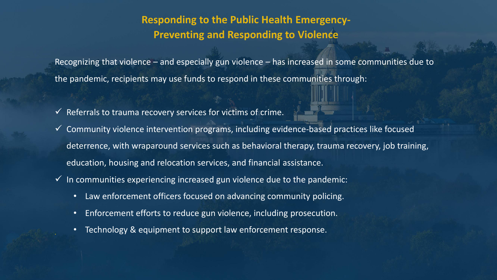## **Responding to the Public Health Emergency-Preventing and Responding to Violence**

Recognizing that violence – and especially gun violence – has increased in some communities due to the pandemic, recipients may use funds to respond in these communities through:

- $\checkmark$  Referrals to trauma recovery services for victims of crime.
- $\checkmark$  Community violence intervention programs, including evidence-based practices like focused deterrence, with wraparound services such as behavioral therapy, trauma recovery, job training, education, housing and relocation services, and financial assistance.
- $\checkmark$  In communities experiencing increased gun violence due to the pandemic:
	- Law enforcement officers focused on advancing community policing.
	- Enforcement efforts to reduce gun violence, including prosecution.
	- Technology & equipment to support law enforcement response.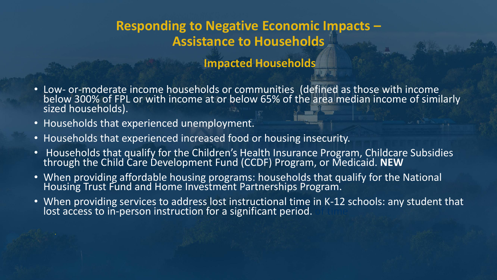## **Responding to Negative Economic Impacts – Assistance to Households**

## **Impacted Households**

- Low- or-moderate income households or communities (defined as those with income below 300% of FPL or with income at or below 65% of the area median income of similarly sized households).
- Households that experienced unemployment.
- Households that experienced increased food or housing insecurity.
- Households that qualify for the Children's Health Insurance Program, Childcare Subsidies through the Child Care Development Fund (CCDF) Program, or Medicaid. **NEW**
- When providing affordable housing programs: households that qualify for the National Housing Trust Fund and Home Investment Partnerships Program.
- When providing services to address lost instructional time in K-12 schools: any student that lost access to in-person instruction for a significant period.  $\blacksquare$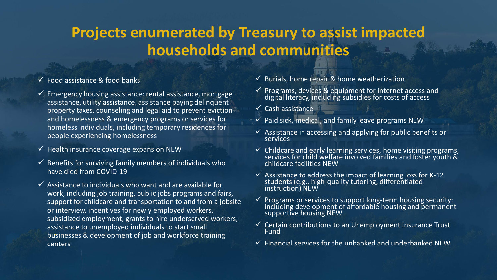# **Projects enumerated by Treasury to assist impacted households and communities**

#### $\checkmark$  Food assistance & food banks

- $\checkmark$  Emergency housing assistance: rental assistance, mortgage assistance, utility assistance, assistance paying delinquent property taxes, counseling and legal aid to prevent eviction and homelessness & emergency programs or services for homeless individuals, including temporary residences for people experiencing homelessness
- $\checkmark$  Health insurance coverage expansion NEW
- $\checkmark$  Benefits for surviving family members of individuals who have died from COVID-19
- $\checkmark$  Assistance to individuals who want and are available for work, including job training, public jobs programs and fairs, support for childcare and transportation to and from a jobsite or interview, incentives for newly employed workers, subsidized employment, grants to hire underserved workers, assistance to unemployed individuals to start small businesses & development of job and workforce training **.**centers
- $\checkmark$  Burials, home repair & home weatherization
- $\checkmark$  Programs, devices & equipment for internet access and digital literacy, including subsidies for costs of access
- $\checkmark$  Cash assistance
- $\checkmark$  Paid sick, medical, and family leave programs NEW
- $\checkmark$  Assistance in accessing and applying for public benefits or **services**
- $\checkmark$  Childcare and early learning services, home visiting programs, services for child welfare involved families and foster youth & childcare facilities NEW
- $\checkmark$  Assistance to address the impact of learning loss for K-12 students (e.g., high-quality tutoring, differentiated instruction) NEW
- $\checkmark$  Programs or services to support long-term housing security: including development of affordable housing and permanent supportive housing NEW
- $\checkmark$  Certain contributions to an Unemployment Insurance Trust Fund
- $\checkmark$  Financial services for the unbanked and underbanked NEW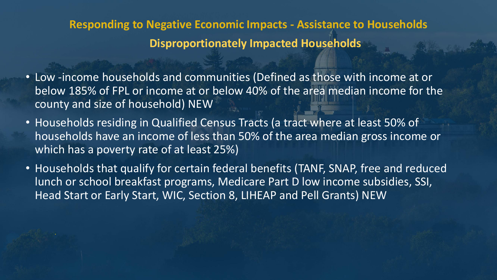**Responding to Negative Economic Impacts - Assistance to Households Disproportionately Impacted Households** 

- Low -income households and communities (Defined as those with income at or below 185% of FPL or income at or below 40% of the area median income for the county and size of household) NEW
- Households residing in Qualified Census Tracts (a tract where at least 50% of households have an income of less than 50% of the area median gross income or which has a poverty rate of at least 25%)
- Households that qualify for certain federal benefits (TANF, SNAP, free and reduced lunch or school breakfast programs, Medicare Part D low income subsidies, SSI, Head Start or Early Start, WIC, Section 8, LIHEAP and Pell Grants) NEW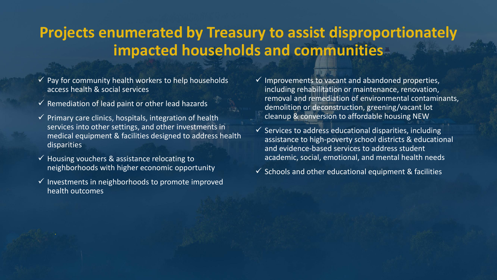## **Projects enumerated by Treasury to assist disproportionately impacted households and communities**

- $\checkmark$  Pay for community health workers to help households access health & social services
- $\checkmark$  Remediation of lead paint or other lead hazards
- $\checkmark$  Primary care clinics, hospitals, integration of health services into other settings, and other investments in medical equipment & facilities designed to address health disparities
- $\checkmark$  Housing vouchers & assistance relocating to neighborhoods with higher economic opportunity
- $\checkmark$  Investments in neighborhoods to promote improved health outcomes
- $\checkmark$  Improvements to vacant and abandoned properties, including rehabilitation or maintenance, renovation, removal and remediation of environmental contaminants, demolition or deconstruction, greening/vacant lot cleanup & conversion to affordable housing NEW
- $\checkmark$  Services to address educational disparities, including assistance to high-poverty school districts & educational and evidence-based services to address student academic, social, emotional, and mental health needs
- $\checkmark$  Schools and other educational equipment & facilities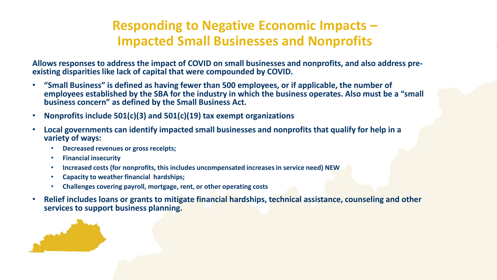## **Responding to Negative Economic Impacts – Impacted Small Businesses and Nonprofits**

**Allows responses to address the impact of COVID on small businesses and nonprofits, and also address preexisting disparities like lack of capital that were compounded by COVID.**

- **"Small Business" is defined as having fewer than 500 employees, or if applicable, the number of employees established by the SBA for the industry in which the business operates. Also must be a "small business concern" as defined by the Small Business Act.**
- **Nonprofits include 501(c)(3) and 501(c)(19) tax exempt organizations**
- **Local governments can identify impacted small businesses and nonprofits that qualify for help in a variety of ways:**
	- **Decreased revenues or gross receipts;**
	- **Financial insecurity**
	- **Increased costs (for nonprofits, this includes uncompensated increases in service need) NEW**
	- **Capacity to weather financial hardships;**
	- **Challenges covering payroll, mortgage, rent, or other operating costs**
- **Relief includes loans or grants to mitigate financial hardships, technical assistance, counseling and other services to support business planning.**

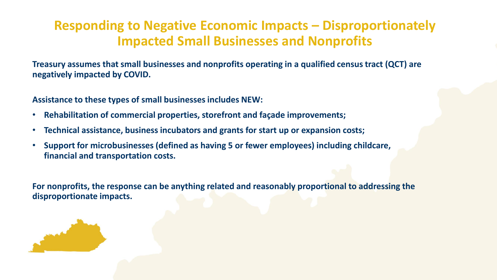## **Responding to Negative Economic Impacts – Disproportionately Impacted Small Businesses and Nonprofits**

**Treasury assumes that small businesses and nonprofits operating in a qualified census tract (QCT) are negatively impacted by COVID.** 

**Assistance to these types of small businesses includes NEW:**

- **Rehabilitation of commercial properties, storefront and façade improvements;**
- **Technical assistance, business incubators and grants for start up or expansion costs;**
- **Support for microbusinesses (defined as having 5 or fewer employees) including childcare, financial and transportation costs.**

**For nonprofits, the response can be anything related and reasonably proportional to addressing the disproportionate impacts.** 

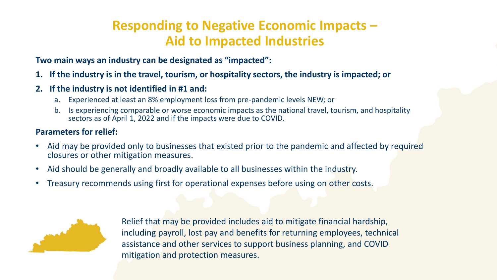## **Responding to Negative Economic Impacts – Aid to Impacted Industries**

**Two main ways an industry can be designated as "impacted":**

- **1. If the industry is in the travel, tourism, or hospitality sectors, the industry is impacted; or**
- **2. If the industry is not identified in #1 and:**
	- a. Experienced at least an 8% employment loss from pre-pandemic levels NEW; or
	- b. Is experiencing comparable or worse economic impacts as the national travel, tourism, and hospitality sectors as of April 1, 2022 and if the impacts were due to COVID.

#### **Parameters for relief:**

- Aid may be provided only to businesses that existed prior to the pandemic and affected by required closures or other mitigation measures.
- Aid should be generally and broadly available to all businesses within the industry.
- Treasury recommends using first for operational expenses before using on other costs.



Relief that may be provided includes aid to mitigate financial hardship, including payroll, lost pay and benefits for returning employees, technical assistance and other services to support business planning, and COVID mitigation and protection measures.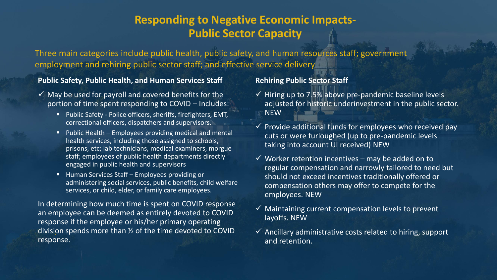#### **Responding to Negative Economic Impacts-Public Sector Capacity**

Three main categories include public health, public safety, and human resources staff; government employment and rehiring public sector staff; and effective service delivery

#### **Public Safety, Public Health, and Human Services Staff**

- $\checkmark$  May be used for payroll and covered benefits for the portion of time spent responding to COVID – Includes:
	- Public Safety Police officers, sheriffs, firefighters, EMT, correctional officers, dispatchers and supervisors.
	- Public Health Employees providing medical and mental health services, including those assigned to schools, prisons, etc; lab technicians, medical examiners, morgue staff; employees of public health departments directly engaged in public health and supervisors
	- Human Services Staff Employees providing or administering social services, public benefits, child welfare services, or child, elder, or family care employees.

In determining how much time is spent on COVID response an employee can be deemed as entirely devoted to COVID response if the employee or his/her primary operating division spends more than ½ of the time devoted to COVID **.** response.

#### **Rehiring Public Sector Staff**

- $\checkmark$  Hiring up to 7.5% above pre-pandemic baseline levels adjusted for historic underinvestment in the public sector. **NFW**
- $\checkmark$  Provide additional funds for employees who received pay cuts or were furloughed (up to pre-pandemic levels taking into account UI received) NEW
- $\checkmark$  Worker retention incentives may be added on to regular compensation and narrowly tailored to need but should not exceed incentives traditionally offered or compensation others may offer to compete for the employees. NEW
- $\checkmark$  Maintaining current compensation levels to prevent layoffs. NEW
- $\checkmark$  Ancillary administrative costs related to hiring, support and retention.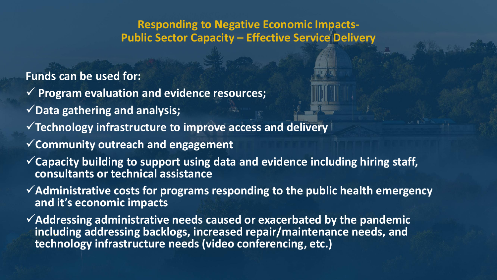## **Responding to Negative Economic Impacts-Public Sector Capacity – Effective Service Delivery**

**Funds can be used for:**

- ✓ **Program evaluation and evidence resources;**
- ✓**Data gathering and analysis;**
- ✓**Technology infrastructure to improve access and delivery**
- ✓**Community outreach and engagement**
- ✓**Capacity building to support using data and evidence including hiring staff, consultants or technical assistance**
- ✓**Administrative costs for programs responding to the public health emergency and it's economic impacts**
- ✓**Addressing administrative needs caused or exacerbated by the pandemic including addressing backlogs, increased repair/maintenance needs, and .technology infrastructure needs (video conferencing, etc.)**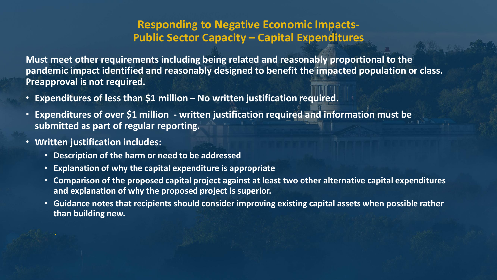#### **Responding to Negative Economic Impacts-Public Sector Capacity – Capital Expenditures**

**Must meet other requirements including being related and reasonably proportional to the pandemic impact identified and reasonably designed to benefit the impacted population or class. Preapproval is not required.**

- **Expenditures of less than \$1 million – No written justification required.**
- **Expenditures of over \$1 million - written justification required and information must be submitted as part of regular reporting.**
- **Written justification includes:**
	- **Description of the harm or need to be addressed**
	- **Explanation of why the capital expenditure is appropriate**
	- **Comparison of the proposed capital project against at least two other alternative capital expenditures and explanation of why the proposed project is superior.**
	- **Guidance notes that recipients should consider improving existing capital assets when possible rather than building new.**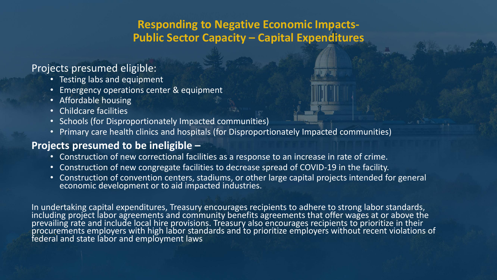## **Responding to Negative Economic Impacts-Public Sector Capacity – Capital Expenditures**

#### Projects presumed eligible:

- Testing labs and equipment
- Emergency operations center & equipment
- Affordable housing
- Childcare facilities
- Schools (for Disproportionately Impacted communities)
- Primary care health clinics and hospitals (for Disproportionately Impacted communities)

#### **Projects presumed to be ineligible –**

- Construction of new correctional facilities as a response to an increase in rate of crime.
- Construction of new congregate facilities to decrease spread of COVID-19 in the facility.
- Construction of convention centers, stadiums, or other large capital projects intended for general economic development or to aid impacted industries.

In undertaking capital expenditures, Treasury encourages recipients to adhere to strong labor standards, including project labor agreements and community benefits agreements that offer wages at or above the prevailing rate and include local hire provisions. Treasury also encourages recipients to prioritize in their procurements employers with high labor standards and to prioritize employers without recent violations of **.**federal and state labor and employment laws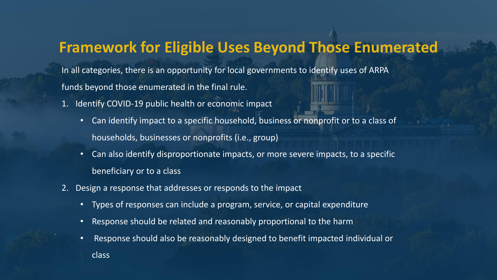## **Framework for Eligible Uses Beyond Those Enumerated**

In all categories, there is an opportunity for local governments to identify uses of ARPA funds beyond those enumerated in the final rule.

- 1. Identify COVID-19 public health or economic impact
	- Can identify impact to a specific household, business or nonprofit or to a class of households, businesses or nonprofits (i.e., group)
	- Can also identify disproportionate impacts, or more severe impacts, to a specific beneficiary or to a class
- 2. Design a response that addresses or responds to the impact
	- Types of responses can include a program, service, or capital expenditure
	- Response should be related and reasonably proportional to the harm
	- Response should also be reasonably designed to benefit impacted individual or class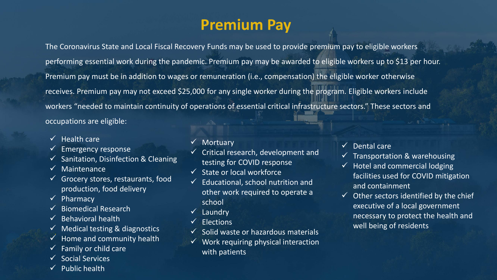# **Premium Pay**

The Coronavirus State and Local Fiscal Recovery Funds may be used to provide premium pay to eligible workers performing essential work during the pandemic. Premium pay may be awarded to eligible workers up to \$13 per hour. Premium pay must be in addition to wages or remuneration (i.e., compensation) the eligible worker otherwise receives. Premium pay may not exceed \$25,000 for any single worker during the program. Eligible workers include workers "needed to maintain continuity of operations of essential critical infrastructure sectors." These sectors and occupations are eligible:

- $\checkmark$  Health care
- $\checkmark$  Emergency response
- $\checkmark$  Sanitation, Disinfection & Cleaning
- ✓ Maintenance
- $\checkmark$  Grocery stores, restaurants, food production, food delivery
- $\checkmark$  Pharmacy
- $\checkmark$  Biomedical Research
- $\checkmark$  Behavioral health
- **.** ✓ Medical testing & diagnostics
- $\checkmark$  Home and community health
- $\checkmark$  Family or child care
- ✓ Social Services
- $\checkmark$  Public health
- **Mortuary**
- $\checkmark$  Critical research, development and testing for COVID response
- ✓ State or local workforce
- $\checkmark$  Educational, school nutrition and other work required to operate a school
- ✓ Laundry
- ✓ Elections
- $\checkmark$  Solid waste or hazardous materials
- $\checkmark$  Work requiring physical interaction with patients
- $\checkmark$  Dental care
- $\checkmark$  Transportation & warehousing
- $\checkmark$  Hotel and commercial lodging facilities used for COVID mitigation and containment
- $\checkmark$  Other sectors identified by the chief executive of a local government necessary to protect the health and well being of residents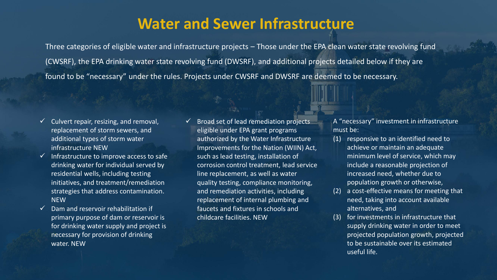## **Water and Sewer Infrastructure**

Three categories of eligible water and infrastructure projects – Those under the EPA clean water state revolving fund (CWSRF), the EPA drinking water state revolving fund (DWSRF), and additional projects detailed below if they are found to be "necessary" under the rules. Projects under CWSRF and DWSRF are deemed to be necessary.

- Culvert repair, resizing, and removal, replacement of storm sewers, and additional types of storm water infrastructure NEW
- $\checkmark$  Infrastructure to improve access to safe drinking water for individual served by residential wells, including testing initiatives, and treatment/remediation strategies that address contamination. **NFW**
- **.** necessary for provision of drinking  $\checkmark$  Dam and reservoir rehabilitation if primary purpose of dam or reservoir is for drinking water supply and project is water. NEW
- ✓ Broad set of lead remediation projects eligible under EPA grant programs authorized by the Water Infrastructure Improvements for the Nation (WIIN) Act, such as lead testing, installation of corrosion control treatment, lead service line replacement, as well as water quality testing, compliance monitoring, and remediation activities, including replacement of internal plumbing and faucets and fixtures in schools and childcare facilities. NEW

A "necessary" investment in infrastructure must be:

- (1) responsive to an identified need to achieve or maintain an adequate minimum level of service, which may include a reasonable projection of increased need, whether due to population growth or otherwise,
- (2) a cost-effective means for meeting that need, taking into account available alternatives, and
- (3) for investments in infrastructure that supply drinking water in order to meet projected population growth, projected to be sustainable over its estimated useful life.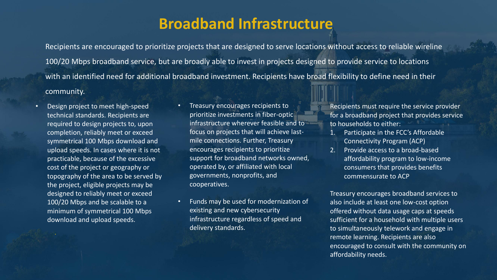## **Broadband Infrastructure**

Recipients are encouraged to prioritize projects that are designed to serve locations without access to reliable wireline 100/20 Mbps broadband service, but are broadly able to invest in projects designed to provide service to locations with an identified need for additional broadband investment. Recipients have broad flexibility to define need in their community.

- Design project to meet high-speed technical standards. Recipients are required to design projects to, upon completion, reliably meet or exceed symmetrical 100 Mbps download and upload speeds. In cases where it is not practicable, because of the excessive cost of the project or geography or topography of the area to be served by the project, eligible projects may be designed to reliably meet or exceed 100/20 Mbps and be scalable to a minimum of symmetrical 100 Mbps download and upload speeds.
- Treasury encourages recipients to prioritize investments in fiber-optic infrastructure wherever feasible and to focus on projects that will achieve lastmile connections. Further, Treasury encourages recipients to prioritize support for broadband networks owned, operated by, or affiliated with local governments, nonprofits, and cooperatives.
- Funds may be used for modernization of existing and new cybersecurity infrastructure regardless of speed and delivery standards.

Recipients must require the service provider for a broadband project that provides service to households to either:

- 1. Participate in the FCC's Affordable Connectivity Program (ACP)
- 2. Provide access to a broad-based affordability program to low-income consumers that provides benefits commensurate to ACP

Treasury encourages broadband services to also include at least one low-cost option offered without data usage caps at speeds sufficient for a household with multiple users to simultaneously telework and engage in remote learning. Recipients are also encouraged to consult with the community on affordability needs.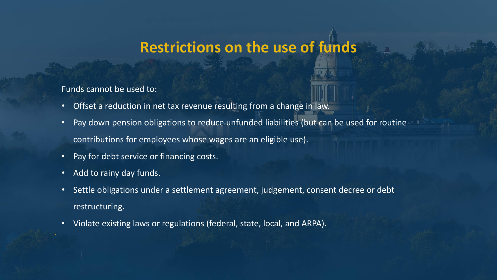## **Restrictions on the use of funds**

#### Funds cannot be used to:

- Offset a reduction in net tax revenue resulting from a change in law.
- Pay down pension obligations to reduce unfunded liabilities (but can be used for routine contributions for employees whose wages are an eligible use).
- Pay for debt service or financing costs.
- Add to rainy day funds.
- Settle obligations under a settlement agreement, judgement, consent decree or debt restructuring.
- Violate existing laws or regulations (federal, state, local, and ARPA).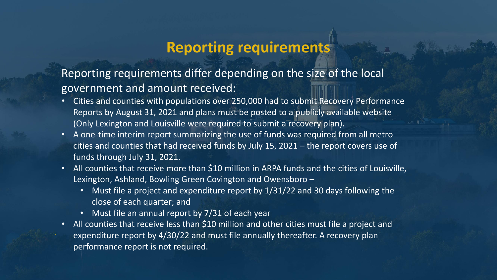## **Reporting requirements**

Reporting requirements differ depending on the size of the local government and amount received:

- Cities and counties with populations over 250,000 had to submit Recovery Performance Reports by August 31, 2021 and plans must be posted to a publicly available website (Only Lexington and Louisville were required to submit a recovery plan).
- A one-time interim report summarizing the use of funds was required from all metro cities and counties that had received funds by July 15, 2021 – the report covers use of funds through July 31, 2021.
- All counties that receive more than \$10 million in ARPA funds and the cities of Louisville, Lexington, Ashland, Bowling Green Covington and Owensboro –
	- Must file a project and expenditure report by 1/31/22 and 30 days following the close of each quarter; and
	- Must file an annual report by 7/31 of each year
- All counties that receive less than \$10 million and other cities must file a project and expenditure report by 4/30/22 and must file annually thereafter. A recovery plan performance report is not required.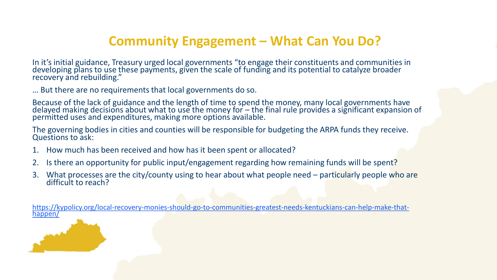## **Community Engagement – What Can You Do?**

In it's initial guidance, Treasury urged local governments "to engage their constituents and communities in developing plans to use these payments, given the scale of funding and its potential to catalyze broader recovery and rebuilding."

… But there are no requirements that local governments do so.

Because of the lack of guidance and the length of time to spend the money, many local governments have delayed making decisions about what to use the money for  $-$  the final rule provides a significant expansion of permitted uses and expenditures, making more options available.

The governing bodies in cities and counties will be responsible for budgeting the ARPA funds they receive. Questions to ask:

- 1. How much has been received and how has it been spent or allocated?
- 2. Is there an opportunity for public input/engagement regarding how remaining funds will be spent?
- 3. What processes are the city/county using to hear about what people need particularly people who are difficult to reach?

[https://kypolicy.org/local-recovery-monies-should-go-to-communities-greatest-needs-kentuckians-can-help-make-that](https://kypolicy.org/local-recovery-monies-should-go-to-communities-greatest-needs-kentuckians-can-help-make-that-happen/)happen/

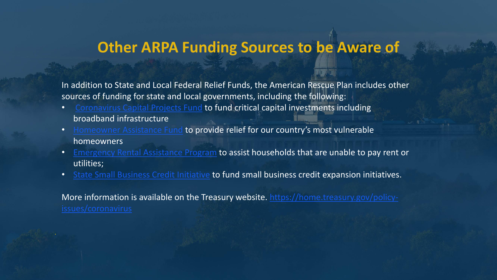## **Other ARPA Funding Sources to be Aware of**

In addition to State and Local Federal Relief Funds, the American Rescue Plan includes other sources of funding for state and local governments, including the following:

- [Coronavirus Capital Projects Fund](https://home.treasury.gov/policy-issues/coronavirus/assistance-for-state-local-and-tribal-governments/capital-projects-fund) to fund critical capital investments including broadband infrastructure
- [Homeowner Assistance Fund](https://home.treasury.gov/policy-issues/coronavirus/assistance-for-state-local-and-tribal-governments/homeowner-assistance-fund) to provide relief for our country's most vulnerable homeowners
- [Emergency Rental Assistance Program](https://home.treasury.gov/policy-issues/coronavirus/assistance-for-state-local-and-tribal-governments/emergency-rental-assistance-program) to assist households that are unable to pay rent or utilities;
- [State Small Business Credit Initiative](https://home.treasury.gov/policy-issues/coronavirus/assistance-for-state-local-and-tribal-governments/state-small-business-credit-initiative) to fund small business credit expansion initiatives.

[More information is available on the Treasury website. https://home.treasury.gov/policy-](https://home.treasury.gov/policy-issues/coronavirus)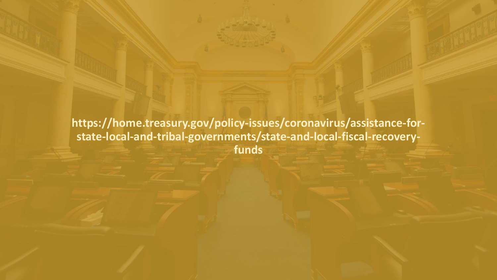**https://home.treasury.gov/policy-issues/coronavirus/assistance-forstate-local-and-tribal-governments/state-and-local-fiscal-recoveryfunds**